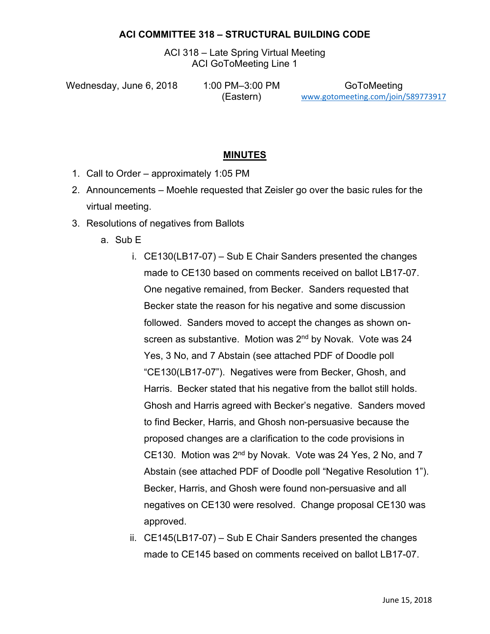#### **ACI COMMITTEE 318 – STRUCTURAL BUILDING CODE**

ACI 318 – Late Spring Virtual Meeting ACI GoToMeeting Line 1

Wednesday, June 6, 2018 1:00 PM-3:00 PM

(Eastern)

GoToMeeting www.gotomeeting.com/join/589773917

#### **MINUTES**

- 1. Call to Order approximately 1:05 PM
- 2. Announcements Moehle requested that Zeisler go over the basic rules for the virtual meeting.
- 3. Resolutions of negatives from Ballots
	- a. Sub E
		- i. CE130(LB17-07) Sub E Chair Sanders presented the changes made to CE130 based on comments received on ballot LB17-07. One negative remained, from Becker. Sanders requested that Becker state the reason for his negative and some discussion followed. Sanders moved to accept the changes as shown onscreen as substantive. Motion was 2<sup>nd</sup> by Novak. Vote was 24 Yes, 3 No, and 7 Abstain (see attached PDF of Doodle poll "CE130(LB17-07"). Negatives were from Becker, Ghosh, and Harris. Becker stated that his negative from the ballot still holds. Ghosh and Harris agreed with Becker's negative. Sanders moved to find Becker, Harris, and Ghosh non-persuasive because the proposed changes are a clarification to the code provisions in CE130. Motion was 2nd by Novak. Vote was 24 Yes, 2 No, and 7 Abstain (see attached PDF of Doodle poll "Negative Resolution 1"). Becker, Harris, and Ghosh were found non-persuasive and all negatives on CE130 were resolved. Change proposal CE130 was approved.
		- ii. CE145(LB17-07) Sub E Chair Sanders presented the changes made to CE145 based on comments received on ballot LB17-07.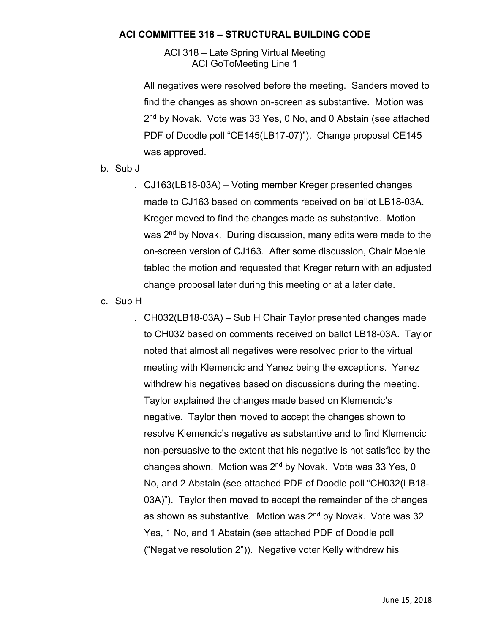#### **ACI COMMITTEE 318 – STRUCTURAL BUILDING CODE**

ACI 318 – Late Spring Virtual Meeting ACI GoToMeeting Line 1

All negatives were resolved before the meeting. Sanders moved to find the changes as shown on-screen as substantive. Motion was 2<sup>nd</sup> by Novak. Vote was 33 Yes, 0 No, and 0 Abstain (see attached PDF of Doodle poll "CE145(LB17-07)"). Change proposal CE145 was approved.

- b. Sub J
	- i. CJ163(LB18-03A) Voting member Kreger presented changes made to CJ163 based on comments received on ballot LB18-03A. Kreger moved to find the changes made as substantive. Motion was 2<sup>nd</sup> by Novak. During discussion, many edits were made to the on-screen version of CJ163. After some discussion, Chair Moehle tabled the motion and requested that Kreger return with an adjusted change proposal later during this meeting or at a later date.
- c. Sub H
	- i. CH032(LB18-03A) Sub H Chair Taylor presented changes made to CH032 based on comments received on ballot LB18-03A. Taylor noted that almost all negatives were resolved prior to the virtual meeting with Klemencic and Yanez being the exceptions. Yanez withdrew his negatives based on discussions during the meeting. Taylor explained the changes made based on Klemencic's negative. Taylor then moved to accept the changes shown to resolve Klemencic's negative as substantive and to find Klemencic non-persuasive to the extent that his negative is not satisfied by the changes shown. Motion was 2nd by Novak. Vote was 33 Yes, 0 No, and 2 Abstain (see attached PDF of Doodle poll "CH032(LB18- 03A)"). Taylor then moved to accept the remainder of the changes as shown as substantive. Motion was 2<sup>nd</sup> by Novak. Vote was 32 Yes, 1 No, and 1 Abstain (see attached PDF of Doodle poll ("Negative resolution 2")). Negative voter Kelly withdrew his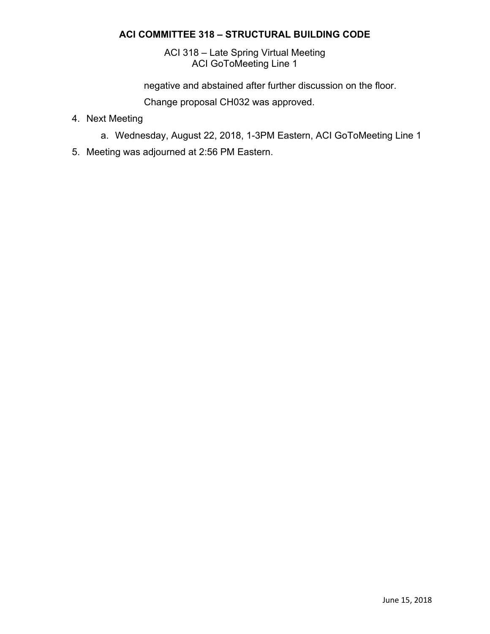#### **ACI COMMITTEE 318 – STRUCTURAL BUILDING CODE**

ACI 318 – Late Spring Virtual Meeting ACI GoToMeeting Line 1

negative and abstained after further discussion on the floor.

Change proposal CH032 was approved.

- 4. Next Meeting
	- a. Wednesday, August 22, 2018, 1-3PM Eastern, ACI GoToMeeting Line 1
- 5. Meeting was adjourned at 2:56 PM Eastern.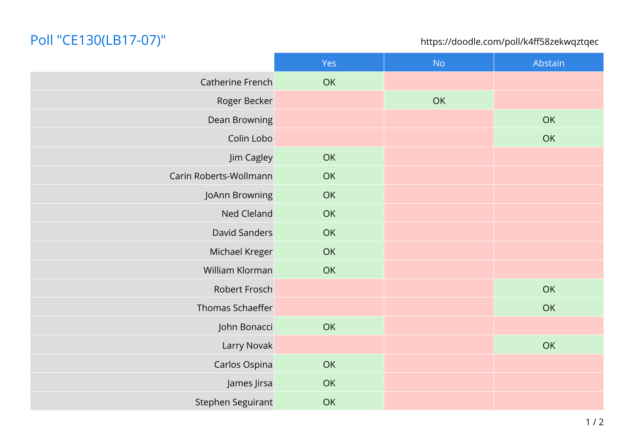# Poll "CE130(LB17-07)"

https://doodle.com/poll/k4ff58zekwqztqec

|                        | Yes | <b>No</b> | Abstain |
|------------------------|-----|-----------|---------|
| Catherine French       | OK  |           |         |
| Roger Becker           |     | OK        |         |
| Dean Browning          |     |           | OK      |
| Colin Lobo             |     |           | OK      |
| Jim Cagley             | OK  |           |         |
| Carin Roberts-Wollmann | OK  |           |         |
| JoAnn Browning         | OK  |           |         |
| Ned Cleland            | OK  |           |         |
| David Sanders          | OK  |           |         |
| Michael Kreger         | OK  |           |         |
| William Klorman        | OK  |           |         |
| Robert Frosch          |     |           | OK      |
| Thomas Schaeffer       |     |           | OK      |
| John Bonacci           | OK  |           |         |
| Larry Novak            |     |           | OK      |
| Carlos Ospina          | OK  |           |         |
| James Jirsa            | OK  |           |         |
| Stephen Seguirant      | OK  |           |         |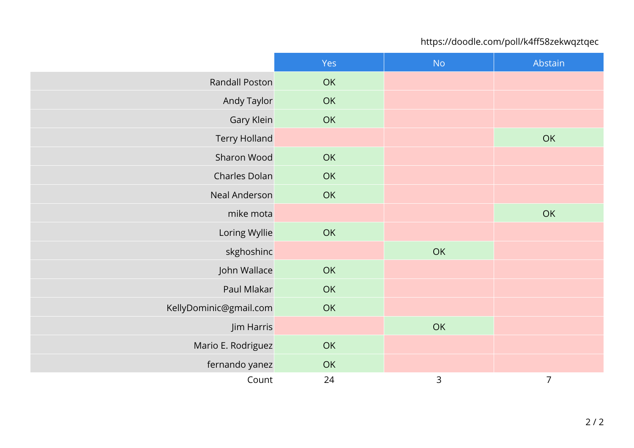### https://doodle.com/poll/k4ff58zekwqztqec

|                        | Yes | <b>No</b> | Abstain        |
|------------------------|-----|-----------|----------------|
| <b>Randall Poston</b>  | OK  |           |                |
| Andy Taylor            | OK  |           |                |
| Gary Klein             | OK  |           |                |
| <b>Terry Holland</b>   |     |           | OK             |
| Sharon Wood            | OK  |           |                |
| Charles Dolan          | OK  |           |                |
| Neal Anderson          | OK  |           |                |
| mike mota              |     |           | OK             |
| Loring Wyllie          | OK  |           |                |
| skghoshinc             |     | OK        |                |
| John Wallace           | OK  |           |                |
| Paul Mlakar            | OK  |           |                |
| KellyDominic@gmail.com | OK  |           |                |
| Jim Harris             |     | OK        |                |
| Mario E. Rodriguez     | OK  |           |                |
| fernando yanez         | OK  |           |                |
| Count                  | 24  | 3         | $\overline{7}$ |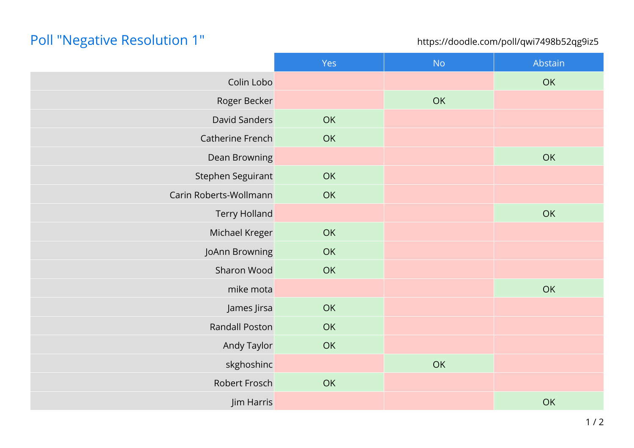# Poll "Negative Resolution 1"

https://doodle.com/poll/qwi7498b52qg9iz5

|                        | Yes | <b>No</b> | Abstain |
|------------------------|-----|-----------|---------|
| Colin Lobo             |     |           | OK      |
| Roger Becker           |     | OK        |         |
| David Sanders          | OK  |           |         |
| Catherine French       | OK  |           |         |
| Dean Browning          |     |           | OK      |
| Stephen Seguirant      | OK  |           |         |
| Carin Roberts-Wollmann | OK  |           |         |
| <b>Terry Holland</b>   |     |           | OK      |
| Michael Kreger         | OK  |           |         |
| JoAnn Browning         | OK  |           |         |
| Sharon Wood            | OK  |           |         |
| mike mota              |     |           | OK      |
| James Jirsa            | OK  |           |         |
| <b>Randall Poston</b>  | OK  |           |         |
| Andy Taylor            | OK  |           |         |
| skghoshinc             |     | OK        |         |
| Robert Frosch          | OK  |           |         |
| Jim Harris             |     |           | OK      |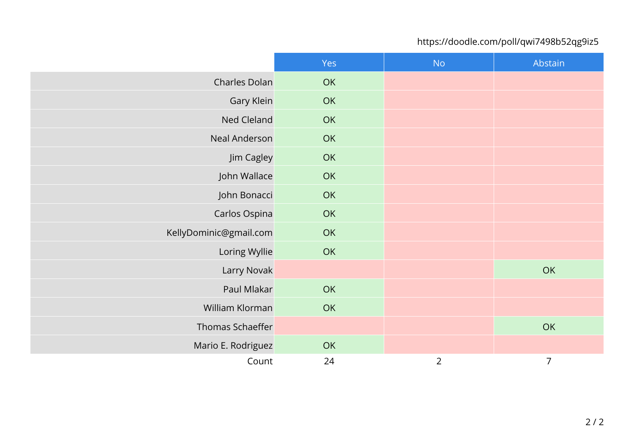## https://doodle.com/poll/qwi7498b52qg9iz5

|                        | Yes | <b>No</b>      | Abstain        |
|------------------------|-----|----------------|----------------|
| Charles Dolan          | OK  |                |                |
| Gary Klein             | OK  |                |                |
| Ned Cleland            | OK  |                |                |
| Neal Anderson          | OK  |                |                |
| Jim Cagley             | OK  |                |                |
| John Wallace           | OK  |                |                |
| John Bonacci           | OK  |                |                |
| Carlos Ospina          | OK  |                |                |
| KellyDominic@gmail.com | OK  |                |                |
| Loring Wyllie          | OK  |                |                |
| Larry Novak            |     |                | OK             |
| Paul Mlakar            | OK  |                |                |
| William Klorman        | OK  |                |                |
| Thomas Schaeffer       |     |                | OK             |
| Mario E. Rodriguez     | OK  |                |                |
| Count                  | 24  | $\overline{2}$ | $\overline{7}$ |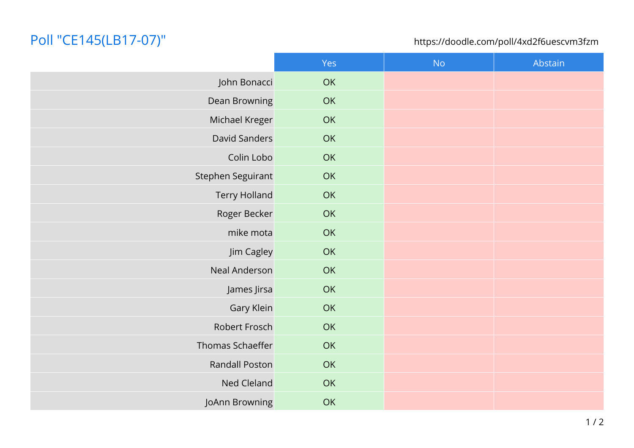# Poll "CE145(LB17-07)"

### https://doodle.com/poll/4xd2f6uescvm3fzm

|                       | Yes | <b>No</b> | Abstain |
|-----------------------|-----|-----------|---------|
| John Bonacci          | OK  |           |         |
| Dean Browning         | OK  |           |         |
| Michael Kreger        | OK  |           |         |
| David Sanders         | OK  |           |         |
| Colin Lobo            | OK  |           |         |
| Stephen Seguirant     | OK  |           |         |
| <b>Terry Holland</b>  | OK  |           |         |
| Roger Becker          | OK  |           |         |
| mike mota             | OK  |           |         |
| Jim Cagley            | OK  |           |         |
| Neal Anderson         | OK  |           |         |
| James Jirsa           | OK  |           |         |
| Gary Klein            | OK  |           |         |
| Robert Frosch         | OK  |           |         |
| Thomas Schaeffer      | OK  |           |         |
| <b>Randall Poston</b> | OK  |           |         |
| Ned Cleland           | OK  |           |         |
| JoAnn Browning        | OK  |           |         |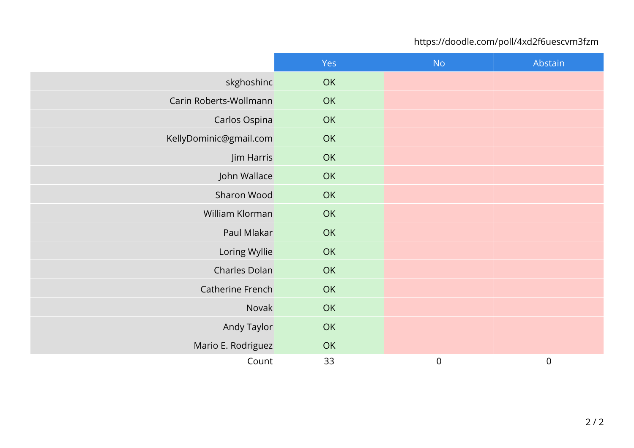## https://doodle.com/poll/4xd2f6uescvm3fzm

|                        | Yes | <b>No</b>        | Abstain          |
|------------------------|-----|------------------|------------------|
| skghoshinc             | OK  |                  |                  |
| Carin Roberts-Wollmann | OK  |                  |                  |
| Carlos Ospina          | OK  |                  |                  |
| KellyDominic@gmail.com | OK  |                  |                  |
| Jim Harris             | OK  |                  |                  |
| John Wallace           | OK  |                  |                  |
| Sharon Wood            | OK  |                  |                  |
| William Klorman        | OK  |                  |                  |
| Paul Mlakar            | OK  |                  |                  |
| Loring Wyllie          | OK  |                  |                  |
| Charles Dolan          | OK  |                  |                  |
| Catherine French       | OK  |                  |                  |
| Novak                  | OK  |                  |                  |
| Andy Taylor            | OK  |                  |                  |
| Mario E. Rodriguez     | OK  |                  |                  |
| Count                  | 33  | $\boldsymbol{0}$ | $\boldsymbol{0}$ |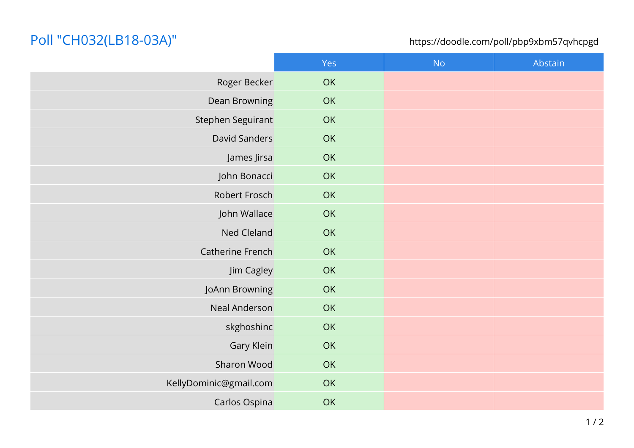## Poll "CH032(LB18-03A)"

### https://doodle.com/poll/pbp9xbm57qvhcpgd

|                        | Yes | No | Abstain |
|------------------------|-----|----|---------|
| Roger Becker           | OK  |    |         |
| Dean Browning          | OK  |    |         |
| Stephen Seguirant      | OK  |    |         |
| David Sanders          | OK  |    |         |
| James Jirsa            | OK  |    |         |
| John Bonacci           | OK  |    |         |
| Robert Frosch          | OK  |    |         |
| John Wallace           | OK  |    |         |
| Ned Cleland            | OK  |    |         |
| Catherine French       | OK  |    |         |
| Jim Cagley             | OK  |    |         |
| JoAnn Browning         | OK  |    |         |
| Neal Anderson          | OK  |    |         |
| skghoshinc             | OK  |    |         |
| Gary Klein             | OK  |    |         |
| Sharon Wood            | OK  |    |         |
| KellyDominic@gmail.com | OK  |    |         |
| Carlos Ospina          | OK  |    |         |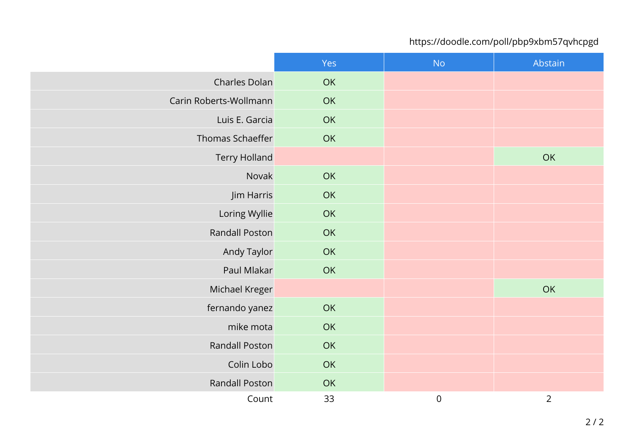## https://doodle.com/poll/pbp9xbm57qvhcpgd

|                        | Yes | <b>No</b>        | Abstain        |
|------------------------|-----|------------------|----------------|
| Charles Dolan          | OK  |                  |                |
| Carin Roberts-Wollmann | OK  |                  |                |
| Luis E. Garcia         | OK  |                  |                |
| Thomas Schaeffer       | OK  |                  |                |
| <b>Terry Holland</b>   |     |                  | OK             |
| Novak                  | OK  |                  |                |
| Jim Harris             | OK  |                  |                |
| Loring Wyllie          | OK  |                  |                |
| <b>Randall Poston</b>  | OK  |                  |                |
| Andy Taylor            | OK  |                  |                |
| Paul Mlakar            | OK  |                  |                |
| Michael Kreger         |     |                  | OK             |
| fernando yanez         | OK  |                  |                |
| mike mota              | OK  |                  |                |
| <b>Randall Poston</b>  | OK  |                  |                |
| Colin Lobo             | OK  |                  |                |
| Randall Poston         | OK  |                  |                |
| Count                  | 33  | $\boldsymbol{0}$ | $\overline{2}$ |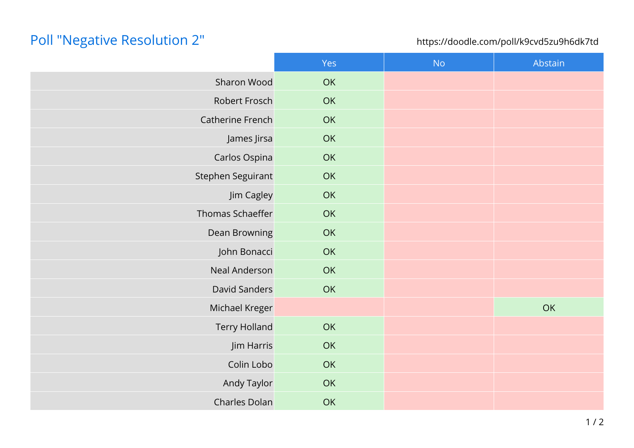# Poll "Negative Resolution 2"

### https://doodle.com/poll/k9cvd5zu9h6dk7td

|                      | Yes | <b>No</b> | Abstain |
|----------------------|-----|-----------|---------|
| Sharon Wood          | OK  |           |         |
| Robert Frosch        | OK  |           |         |
| Catherine French     | OK  |           |         |
| James Jirsa          | OK  |           |         |
| Carlos Ospina        | OK  |           |         |
| Stephen Seguirant    | OK  |           |         |
| Jim Cagley           | OK  |           |         |
| Thomas Schaeffer     | OK  |           |         |
| Dean Browning        | OK  |           |         |
| John Bonacci         | OK  |           |         |
| Neal Anderson        | OK  |           |         |
| David Sanders        | OK  |           |         |
| Michael Kreger       |     |           | OK      |
| <b>Terry Holland</b> | OK  |           |         |
| Jim Harris           | OK  |           |         |
| Colin Lobo           | OK  |           |         |
| Andy Taylor          | OK  |           |         |
| Charles Dolan        | OK  |           |         |